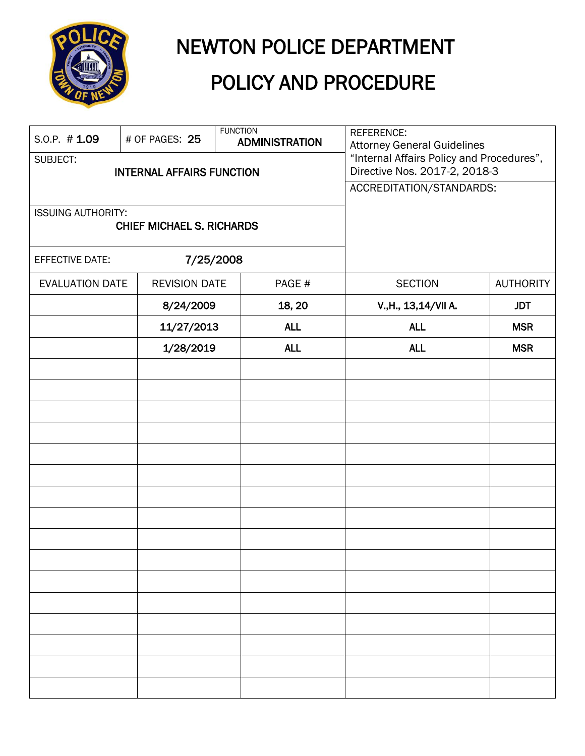

# NEWTON POLICE DEPARTMENT

# POLICY AND PROCEDURE

| S.O.P. $# 1.09$                                               |  | # OF PAGES: 25       | <b>FUNCTION</b> | <b>ADMINISTRATION</b> | REFERENCE:<br><b>Attorney General Guidelines</b>                           |                  |
|---------------------------------------------------------------|--|----------------------|-----------------|-----------------------|----------------------------------------------------------------------------|------------------|
| SUBJECT:<br><b>INTERNAL AFFAIRS FUNCTION</b>                  |  |                      |                 |                       | "Internal Affairs Policy and Procedures",<br>Directive Nos. 2017-2, 2018-3 |                  |
|                                                               |  |                      |                 |                       | ACCREDITATION/STANDARDS:                                                   |                  |
| <b>ISSUING AUTHORITY:</b><br><b>CHIEF MICHAEL S. RICHARDS</b> |  |                      |                 |                       |                                                                            |                  |
| <b>EFFECTIVE DATE:</b>                                        |  | 7/25/2008            |                 |                       |                                                                            |                  |
| <b>EVALUATION DATE</b>                                        |  | <b>REVISION DATE</b> |                 | PAGE#                 | <b>SECTION</b>                                                             | <b>AUTHORITY</b> |
|                                                               |  | 8/24/2009            |                 | 18, 20                | V., H., 13, 14/VII A.                                                      | <b>JDT</b>       |
|                                                               |  | 11/27/2013           |                 | <b>ALL</b>            | <b>ALL</b>                                                                 | <b>MSR</b>       |
|                                                               |  | 1/28/2019            |                 | <b>ALL</b>            | <b>ALL</b>                                                                 | <b>MSR</b>       |
|                                                               |  |                      |                 |                       |                                                                            |                  |
|                                                               |  |                      |                 |                       |                                                                            |                  |
|                                                               |  |                      |                 |                       |                                                                            |                  |
|                                                               |  |                      |                 |                       |                                                                            |                  |
|                                                               |  |                      |                 |                       |                                                                            |                  |
|                                                               |  |                      |                 |                       |                                                                            |                  |
|                                                               |  |                      |                 |                       |                                                                            |                  |
|                                                               |  |                      |                 |                       |                                                                            |                  |
|                                                               |  |                      |                 |                       |                                                                            |                  |
|                                                               |  |                      |                 |                       |                                                                            |                  |
|                                                               |  |                      |                 |                       |                                                                            |                  |
|                                                               |  |                      |                 |                       |                                                                            |                  |
|                                                               |  |                      |                 |                       |                                                                            |                  |
|                                                               |  |                      |                 |                       |                                                                            |                  |
|                                                               |  |                      |                 |                       |                                                                            |                  |
|                                                               |  |                      |                 |                       |                                                                            |                  |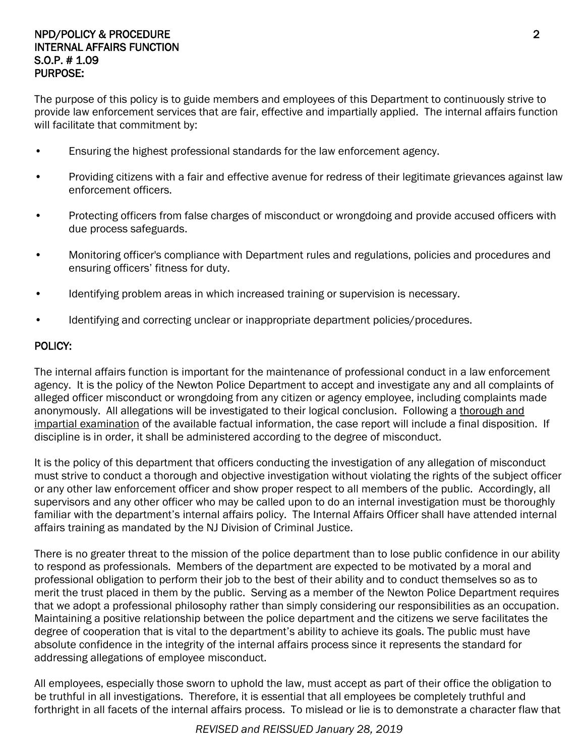#### NPD/POLICY & PROCEDURE 2 INTERNAL AFFAIRS FUNCTION S.O.P. # 1.09 PURPOSE:

The purpose of this policy is to guide members and employees of this Department to continuously strive to provide law enforcement services that are fair, effective and impartially applied. The internal affairs function will facilitate that commitment by:

- Ensuring the highest professional standards for the law enforcement agency.
- Providing citizens with a fair and effective avenue for redress of their legitimate grievances against law enforcement officers.
- Protecting officers from false charges of misconduct or wrongdoing and provide accused officers with due process safeguards.
- Monitoring officer's compliance with Department rules and regulations, policies and procedures and ensuring officers' fitness for duty.
- Identifying problem areas in which increased training or supervision is necessary.
- Identifying and correcting unclear or inappropriate department policies/procedures.

#### POLICY:

The internal affairs function is important for the maintenance of professional conduct in a law enforcement agency. It is the policy of the Newton Police Department to accept and investigate any and all complaints of alleged officer misconduct or wrongdoing from any citizen or agency employee, including complaints made anonymously. All allegations will be investigated to their logical conclusion. Following a thorough and impartial examination of the available factual information, the case report will include a final disposition. If discipline is in order, it shall be administered according to the degree of misconduct.

It is the policy of this department that officers conducting the investigation of any allegation of misconduct must strive to conduct a thorough and objective investigation without violating the rights of the subject officer or any other law enforcement officer and show proper respect to all members of the public. Accordingly, all supervisors and any other officer who may be called upon to do an internal investigation must be thoroughly familiar with the department's internal affairs policy. The Internal Affairs Officer shall have attended internal affairs training as mandated by the NJ Division of Criminal Justice.

There is no greater threat to the mission of the police department than to lose public confidence in our ability to respond as professionals. Members of the department are expected to be motivated by a moral and professional obligation to perform their job to the best of their ability and to conduct themselves so as to merit the trust placed in them by the public. Serving as a member of the Newton Police Department requires that we adopt a professional philosophy rather than simply considering our responsibilities as an occupation. Maintaining a positive relationship between the police department and the citizens we serve facilitates the degree of cooperation that is vital to the department's ability to achieve its goals. The public must have absolute confidence in the integrity of the internal affairs process since it represents the standard for addressing allegations of employee misconduct.

All employees, especially those sworn to uphold the law, must accept as part of their office the obligation to be truthful in all investigations. Therefore, it is essential that all employees be completely truthful and forthright in all facets of the internal affairs process. To mislead or lie is to demonstrate a character flaw that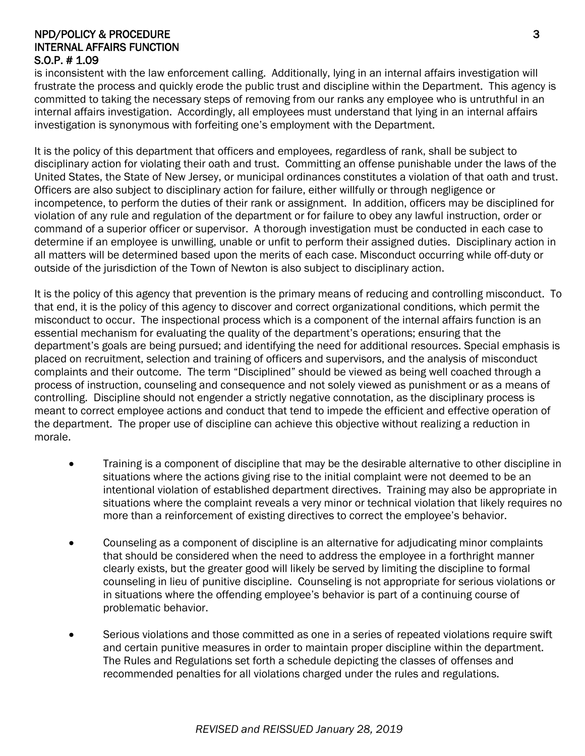#### NPD/POLICY & PROCEDURE 3 INTERNAL AFFAIRS FUNCTION S.O.P. # 1.09

is inconsistent with the law enforcement calling. Additionally, lying in an internal affairs investigation will frustrate the process and quickly erode the public trust and discipline within the Department. This agency is committed to taking the necessary steps of removing from our ranks any employee who is untruthful in an internal affairs investigation. Accordingly, all employees must understand that lying in an internal affairs investigation is synonymous with forfeiting one's employment with the Department.

It is the policy of this department that officers and employees, regardless of rank, shall be subject to disciplinary action for violating their oath and trust. Committing an offense punishable under the laws of the United States, the State of New Jersey, or municipal ordinances constitutes a violation of that oath and trust. Officers are also subject to disciplinary action for failure, either willfully or through negligence or incompetence, to perform the duties of their rank or assignment. In addition, officers may be disciplined for violation of any rule and regulation of the department or for failure to obey any lawful instruction, order or command of a superior officer or supervisor. A thorough investigation must be conducted in each case to determine if an employee is unwilling, unable or unfit to perform their assigned duties. Disciplinary action in all matters will be determined based upon the merits of each case. Misconduct occurring while off-duty or outside of the jurisdiction of the Town of Newton is also subject to disciplinary action.

It is the policy of this agency that prevention is the primary means of reducing and controlling misconduct. To that end, it is the policy of this agency to discover and correct organizational conditions, which permit the misconduct to occur. The inspectional process which is a component of the internal affairs function is an essential mechanism for evaluating the quality of the department's operations; ensuring that the department's goals are being pursued; and identifying the need for additional resources. Special emphasis is placed on recruitment, selection and training of officers and supervisors, and the analysis of misconduct complaints and their outcome. The term "Disciplined" should be viewed as being well coached through a process of instruction, counseling and consequence and not solely viewed as punishment or as a means of controlling. Discipline should not engender a strictly negative connotation, as the disciplinary process is meant to correct employee actions and conduct that tend to impede the efficient and effective operation of the department. The proper use of discipline can achieve this objective without realizing a reduction in morale.

- Training is a component of discipline that may be the desirable alternative to other discipline in situations where the actions giving rise to the initial complaint were not deemed to be an intentional violation of established department directives. Training may also be appropriate in situations where the complaint reveals a very minor or technical violation that likely requires no more than a reinforcement of existing directives to correct the employee's behavior.
- Counseling as a component of discipline is an alternative for adjudicating minor complaints that should be considered when the need to address the employee in a forthright manner clearly exists, but the greater good will likely be served by limiting the discipline to formal counseling in lieu of punitive discipline. Counseling is not appropriate for serious violations or in situations where the offending employee's behavior is part of a continuing course of problematic behavior.
- Serious violations and those committed as one in a series of repeated violations require swift and certain punitive measures in order to maintain proper discipline within the department. The Rules and Regulations set forth a schedule depicting the classes of offenses and recommended penalties for all violations charged under the rules and regulations.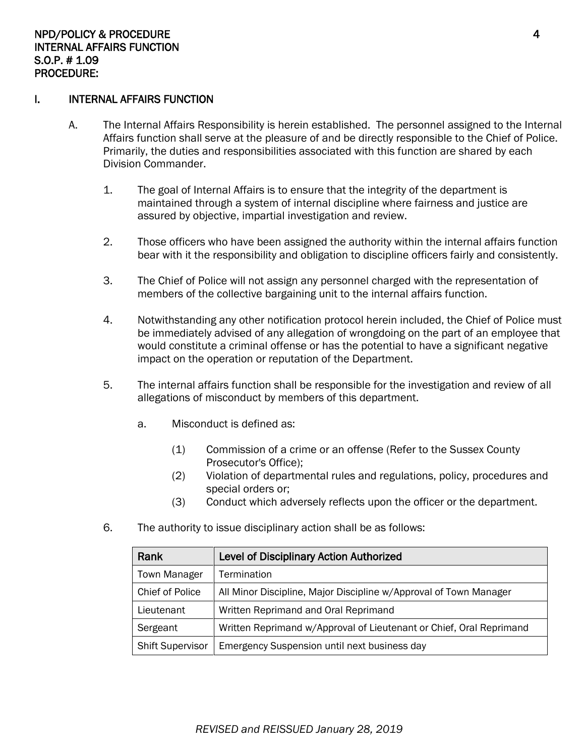#### I. INTERNAL AFFAIRS FUNCTION

- A. The Internal Affairs Responsibility is herein established. The personnel assigned to the Internal Affairs function shall serve at the pleasure of and be directly responsible to the Chief of Police. Primarily, the duties and responsibilities associated with this function are shared by each Division Commander.
	- 1. The goal of Internal Affairs is to ensure that the integrity of the department is maintained through a system of internal discipline where fairness and justice are assured by objective, impartial investigation and review.
	- 2. Those officers who have been assigned the authority within the internal affairs function bear with it the responsibility and obligation to discipline officers fairly and consistently.
	- 3. The Chief of Police will not assign any personnel charged with the representation of members of the collective bargaining unit to the internal affairs function.
	- 4. Notwithstanding any other notification protocol herein included, the Chief of Police must be immediately advised of any allegation of wrongdoing on the part of an employee that would constitute a criminal offense or has the potential to have a significant negative impact on the operation or reputation of the Department.
	- 5. The internal affairs function shall be responsible for the investigation and review of all allegations of misconduct by members of this department.
		- a. Misconduct is defined as:
			- (1) Commission of a crime or an offense (Refer to the Sussex County Prosecutor's Office);
			- (2) Violation of departmental rules and regulations, policy, procedures and special orders or;
			- (3) Conduct which adversely reflects upon the officer or the department.
	- 6. The authority to issue disciplinary action shall be as follows:

| Rank                    | <b>Level of Disciplinary Action Authorized</b>                      |  |  |
|-------------------------|---------------------------------------------------------------------|--|--|
| <b>Town Manager</b>     | Termination                                                         |  |  |
| <b>Chief of Police</b>  | All Minor Discipline, Major Discipline w/Approval of Town Manager   |  |  |
| Lieutenant              | Written Reprimand and Oral Reprimand                                |  |  |
| Sergeant                | Written Reprimand w/Approval of Lieutenant or Chief, Oral Reprimand |  |  |
| <b>Shift Supervisor</b> | Emergency Suspension until next business day                        |  |  |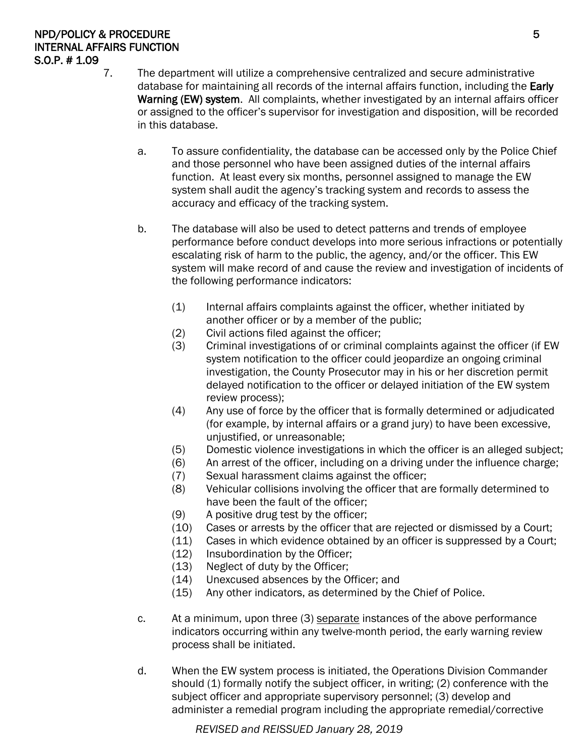# NPD/POLICY & PROCEDURE 5 INTERNAL AFFAIRS FUNCTION S.O.P. # 1.09

- 7. The department will utilize a comprehensive centralized and secure administrative database for maintaining all records of the internal affairs function, including the Early Warning (EW) system. All complaints, whether investigated by an internal affairs officer or assigned to the officer's supervisor for investigation and disposition, will be recorded in this database.
	- a. To assure confidentiality, the database can be accessed only by the Police Chief and those personnel who have been assigned duties of the internal affairs function. At least every six months, personnel assigned to manage the EW system shall audit the agency's tracking system and records to assess the accuracy and efficacy of the tracking system.
	- b. The database will also be used to detect patterns and trends of employee performance before conduct develops into more serious infractions or potentially escalating risk of harm to the public, the agency, and/or the officer. This EW system will make record of and cause the review and investigation of incidents of the following performance indicators:
		- (1) Internal affairs complaints against the officer, whether initiated by another officer or by a member of the public;
		- (2) Civil actions filed against the officer;
		- (3) Criminal investigations of or criminal complaints against the officer (if EW system notification to the officer could jeopardize an ongoing criminal investigation, the County Prosecutor may in his or her discretion permit delayed notification to the officer or delayed initiation of the EW system review process);
		- (4) Any use of force by the officer that is formally determined or adjudicated (for example, by internal affairs or a grand jury) to have been excessive, unjustified, or unreasonable;
		- (5) Domestic violence investigations in which the officer is an alleged subject;
		- (6) An arrest of the officer, including on a driving under the influence charge;
		- (7) Sexual harassment claims against the officer;
		- (8) Vehicular collisions involving the officer that are formally determined to have been the fault of the officer;
		- (9) A positive drug test by the officer;
		- (10) Cases or arrests by the officer that are rejected or dismissed by a Court;
		- (11) Cases in which evidence obtained by an officer is suppressed by a Court;
		- (12) Insubordination by the Officer;
		- (13) Neglect of duty by the Officer;
		- (14) Unexcused absences by the Officer; and
		- (15) Any other indicators, as determined by the Chief of Police.
	- c. At a minimum, upon three (3) separate instances of the above performance indicators occurring within any twelve-month period, the early warning review process shall be initiated.
	- d. When the EW system process is initiated, the Operations Division Commander should (1) formally notify the subject officer, in writing; (2) conference with the subject officer and appropriate supervisory personnel; (3) develop and administer a remedial program including the appropriate remedial/corrective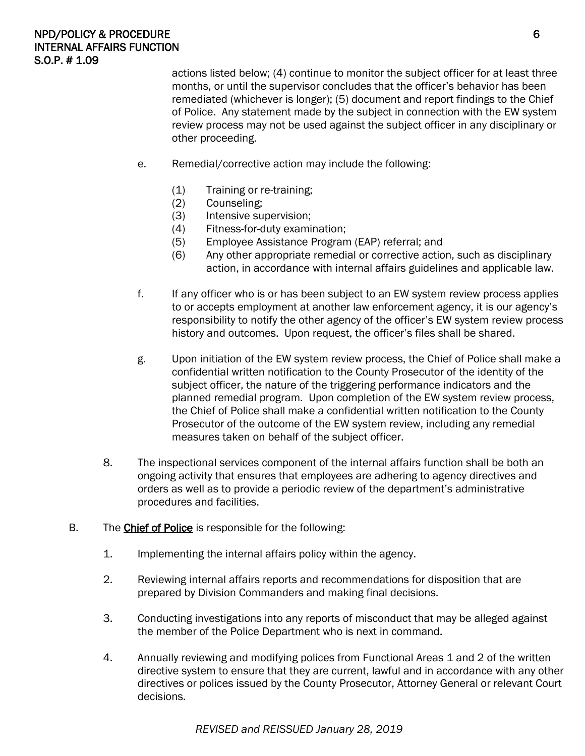#### NPD/POLICY & PROCEDURE **6** INTERNAL AFFAIRS FUNCTION S.O.P. # 1.09

actions listed below; (4) continue to monitor the subject officer for at least three months, or until the supervisor concludes that the officer's behavior has been remediated (whichever is longer); (5) document and report findings to the Chief of Police. Any statement made by the subject in connection with the EW system review process may not be used against the subject officer in any disciplinary or other proceeding.

- e. Remedial/corrective action may include the following:
	- (1) Training or re-training;
	- (2) Counseling;
	- (3) Intensive supervision;
	- (4) Fitness-for-duty examination;
	- (5) Employee Assistance Program (EAP) referral; and
	- (6) Any other appropriate remedial or corrective action, such as disciplinary action, in accordance with internal affairs guidelines and applicable law.
- f. If any officer who is or has been subject to an EW system review process applies to or accepts employment at another law enforcement agency, it is our agency's responsibility to notify the other agency of the officer's EW system review process history and outcomes. Upon request, the officer's files shall be shared.
- g. Upon initiation of the EW system review process, the Chief of Police shall make a confidential written notification to the County Prosecutor of the identity of the subject officer, the nature of the triggering performance indicators and the planned remedial program. Upon completion of the EW system review process, the Chief of Police shall make a confidential written notification to the County Prosecutor of the outcome of the EW system review, including any remedial measures taken on behalf of the subject officer.
- 8. The inspectional services component of the internal affairs function shall be both an ongoing activity that ensures that employees are adhering to agency directives and orders as well as to provide a periodic review of the department's administrative procedures and facilities.
- B. The **Chief of Police** is responsible for the following:
	- 1. Implementing the internal affairs policy within the agency.
	- 2. Reviewing internal affairs reports and recommendations for disposition that are prepared by Division Commanders and making final decisions.
	- 3. Conducting investigations into any reports of misconduct that may be alleged against the member of the Police Department who is next in command.
	- 4. Annually reviewing and modifying polices from Functional Areas 1 and 2 of the written directive system to ensure that they are current, lawful and in accordance with any other directives or polices issued by the County Prosecutor, Attorney General or relevant Court decisions.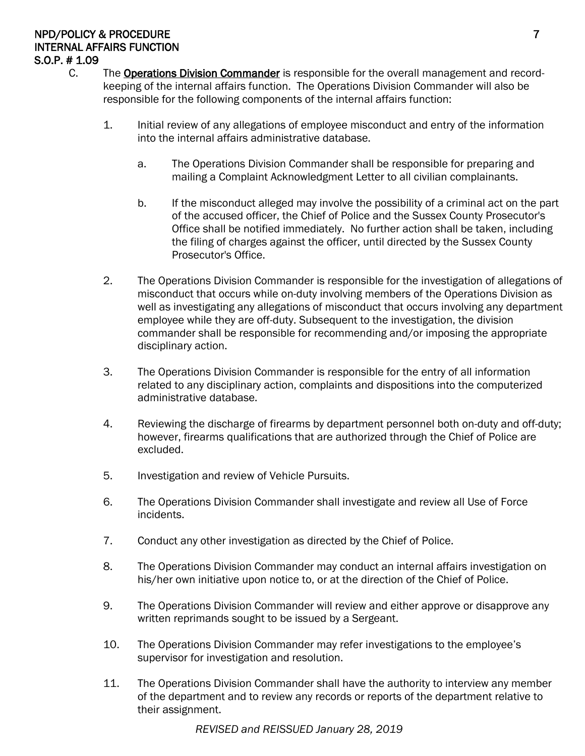#### NPD/POLICY & PROCEDURE 7 AND 2000 FOR THE RESEARCH CONTROL IN THE RESEARCH OF THE RESEARCH OF THE RESEARCH OF T INTERNAL AFFAIRS FUNCTION S.O.P. # 1.09

- C. The Operations Division Commander is responsible for the overall management and recordkeeping of the internal affairs function. The Operations Division Commander will also be responsible for the following components of the internal affairs function:
	- 1. Initial review of any allegations of employee misconduct and entry of the information into the internal affairs administrative database.
		- a. The Operations Division Commander shall be responsible for preparing and mailing a Complaint Acknowledgment Letter to all civilian complainants.
		- b. If the misconduct alleged may involve the possibility of a criminal act on the part of the accused officer, the Chief of Police and the Sussex County Prosecutor's Office shall be notified immediately. No further action shall be taken, including the filing of charges against the officer, until directed by the Sussex County Prosecutor's Office.
	- 2. The Operations Division Commander is responsible for the investigation of allegations of misconduct that occurs while on-duty involving members of the Operations Division as well as investigating any allegations of misconduct that occurs involving any department employee while they are off-duty. Subsequent to the investigation, the division commander shall be responsible for recommending and/or imposing the appropriate disciplinary action.
	- 3. The Operations Division Commander is responsible for the entry of all information related to any disciplinary action, complaints and dispositions into the computerized administrative database.
	- 4. Reviewing the discharge of firearms by department personnel both on-duty and off-duty; however, firearms qualifications that are authorized through the Chief of Police are excluded.
	- 5. Investigation and review of Vehicle Pursuits.
	- 6. The Operations Division Commander shall investigate and review all Use of Force incidents.
	- 7. Conduct any other investigation as directed by the Chief of Police.
	- 8. The Operations Division Commander may conduct an internal affairs investigation on his/her own initiative upon notice to, or at the direction of the Chief of Police.
	- 9. The Operations Division Commander will review and either approve or disapprove any written reprimands sought to be issued by a Sergeant.
	- 10. The Operations Division Commander may refer investigations to the employee's supervisor for investigation and resolution.
	- 11. The Operations Division Commander shall have the authority to interview any member of the department and to review any records or reports of the department relative to their assignment.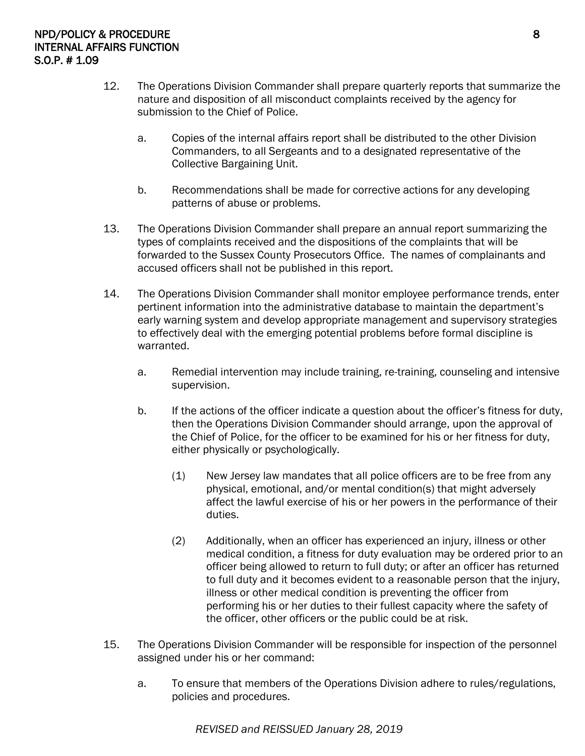- 12. The Operations Division Commander shall prepare quarterly reports that summarize the nature and disposition of all misconduct complaints received by the agency for submission to the Chief of Police.
	- a. Copies of the internal affairs report shall be distributed to the other Division Commanders, to all Sergeants and to a designated representative of the Collective Bargaining Unit.
	- b. Recommendations shall be made for corrective actions for any developing patterns of abuse or problems.
- 13. The Operations Division Commander shall prepare an annual report summarizing the types of complaints received and the dispositions of the complaints that will be forwarded to the Sussex County Prosecutors Office. The names of complainants and accused officers shall not be published in this report.
- 14. The Operations Division Commander shall monitor employee performance trends, enter pertinent information into the administrative database to maintain the department's early warning system and develop appropriate management and supervisory strategies to effectively deal with the emerging potential problems before formal discipline is warranted.
	- a. Remedial intervention may include training, re-training, counseling and intensive supervision.
	- b. If the actions of the officer indicate a question about the officer's fitness for duty, then the Operations Division Commander should arrange, upon the approval of the Chief of Police, for the officer to be examined for his or her fitness for duty, either physically or psychologically.
		- (1) New Jersey law mandates that all police officers are to be free from any physical, emotional, and/or mental condition(s) that might adversely affect the lawful exercise of his or her powers in the performance of their duties.
		- (2) Additionally, when an officer has experienced an injury, illness or other medical condition, a fitness for duty evaluation may be ordered prior to an officer being allowed to return to full duty; or after an officer has returned to full duty and it becomes evident to a reasonable person that the injury, illness or other medical condition is preventing the officer from performing his or her duties to their fullest capacity where the safety of the officer, other officers or the public could be at risk.
- 15. The Operations Division Commander will be responsible for inspection of the personnel assigned under his or her command:
	- a. To ensure that members of the Operations Division adhere to rules/regulations, policies and procedures.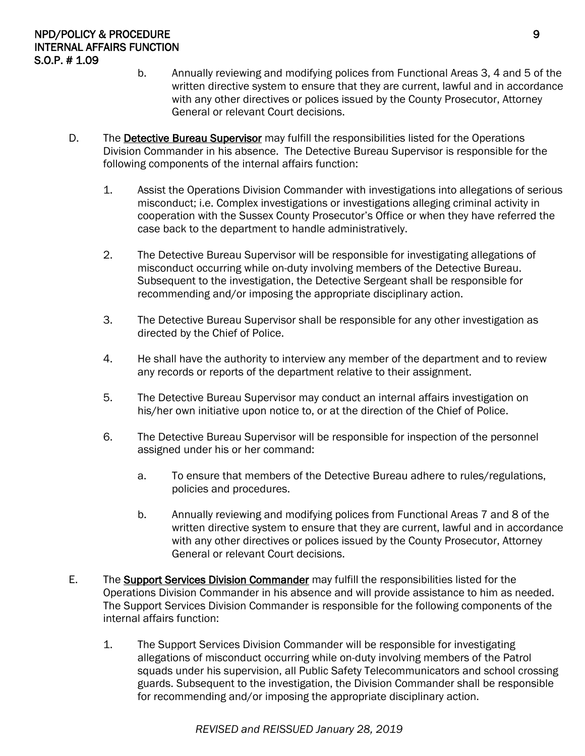- b. Annually reviewing and modifying polices from Functional Areas 3, 4 and 5 of the written directive system to ensure that they are current, lawful and in accordance with any other directives or polices issued by the County Prosecutor, Attorney General or relevant Court decisions.
- D. The Detective Bureau Supervisor may fulfill the responsibilities listed for the Operations Division Commander in his absence. The Detective Bureau Supervisor is responsible for the following components of the internal affairs function:
	- 1. Assist the Operations Division Commander with investigations into allegations of serious misconduct; i.e. Complex investigations or investigations alleging criminal activity in cooperation with the Sussex County Prosecutor's Office or when they have referred the case back to the department to handle administratively.
	- 2. The Detective Bureau Supervisor will be responsible for investigating allegations of misconduct occurring while on-duty involving members of the Detective Bureau. Subsequent to the investigation, the Detective Sergeant shall be responsible for recommending and/or imposing the appropriate disciplinary action.
	- 3. The Detective Bureau Supervisor shall be responsible for any other investigation as directed by the Chief of Police.
	- 4. He shall have the authority to interview any member of the department and to review any records or reports of the department relative to their assignment.
	- 5. The Detective Bureau Supervisor may conduct an internal affairs investigation on his/her own initiative upon notice to, or at the direction of the Chief of Police.
	- 6. The Detective Bureau Supervisor will be responsible for inspection of the personnel assigned under his or her command:
		- a. To ensure that members of the Detective Bureau adhere to rules/regulations, policies and procedures.
		- b. Annually reviewing and modifying polices from Functional Areas 7 and 8 of the written directive system to ensure that they are current, lawful and in accordance with any other directives or polices issued by the County Prosecutor, Attorney General or relevant Court decisions.
- E. The **Support Services Division Commander** may fulfill the responsibilities listed for the Operations Division Commander in his absence and will provide assistance to him as needed. The Support Services Division Commander is responsible for the following components of the internal affairs function:
	- 1. The Support Services Division Commander will be responsible for investigating allegations of misconduct occurring while on-duty involving members of the Patrol squads under his supervision, all Public Safety Telecommunicators and school crossing guards. Subsequent to the investigation, the Division Commander shall be responsible for recommending and/or imposing the appropriate disciplinary action.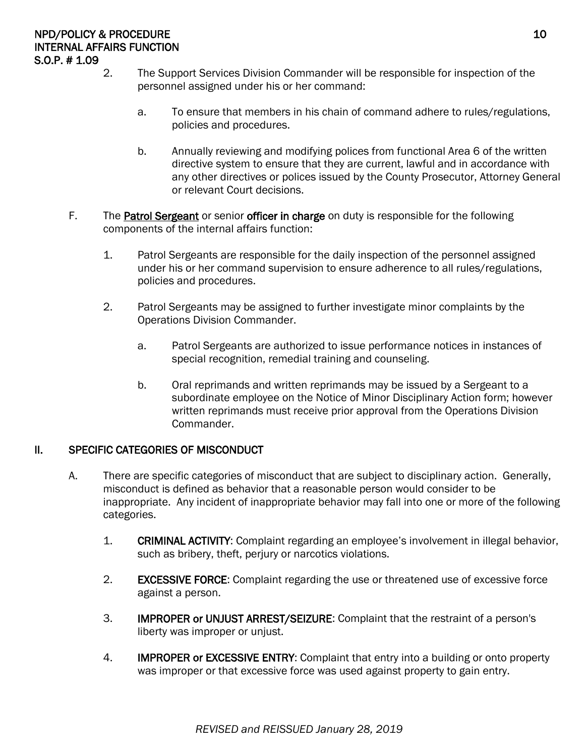- 2. The Support Services Division Commander will be responsible for inspection of the personnel assigned under his or her command:
	- a. To ensure that members in his chain of command adhere to rules/regulations, policies and procedures.
	- b. Annually reviewing and modifying polices from functional Area 6 of the written directive system to ensure that they are current, lawful and in accordance with any other directives or polices issued by the County Prosecutor, Attorney General or relevant Court decisions.
- F. The Patrol Sergeant or senior officer in charge on duty is responsible for the following components of the internal affairs function:
	- 1. Patrol Sergeants are responsible for the daily inspection of the personnel assigned under his or her command supervision to ensure adherence to all rules/regulations, policies and procedures.
	- 2. Patrol Sergeants may be assigned to further investigate minor complaints by the Operations Division Commander.
		- a. Patrol Sergeants are authorized to issue performance notices in instances of special recognition, remedial training and counseling.
		- b. Oral reprimands and written reprimands may be issued by a Sergeant to a subordinate employee on the Notice of Minor Disciplinary Action form; however written reprimands must receive prior approval from the Operations Division Commander.

#### II. SPECIFIC CATEGORIES OF MISCONDUCT

- A. There are specific categories of misconduct that are subject to disciplinary action. Generally, misconduct is defined as behavior that a reasonable person would consider to be inappropriate. Any incident of inappropriate behavior may fall into one or more of the following categories.
	- 1. CRIMINAL ACTIVITY: Complaint regarding an employee's involvement in illegal behavior, such as bribery, theft, perjury or narcotics violations.
	- 2. EXCESSIVE FORCE: Complaint regarding the use or threatened use of excessive force against a person.
	- 3. IMPROPER or UNJUST ARREST/SEIZURE: Complaint that the restraint of a person's liberty was improper or unjust.
	- 4. **IMPROPER or EXCESSIVE ENTRY:** Complaint that entry into a building or onto property was improper or that excessive force was used against property to gain entry.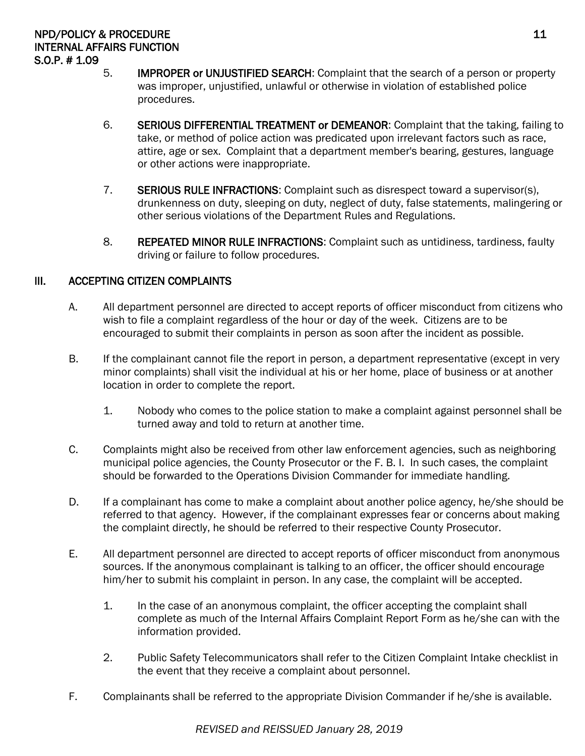#### NPD/POLICY & PROCEDURE 2.1 and the state of the state of the state of the state of the state of the state of the state of the state of the state of the state of the state of the state of the state of the state of the state INTERNAL AFFAIRS FUNCTION S.O.P. # 1.09

- 5. IMPROPER or UNJUSTIFIED SEARCH: Complaint that the search of a person or property was improper, unjustified, unlawful or otherwise in violation of established police procedures.
- 6. SERIOUS DIFFERENTIAL TREATMENT or DEMEANOR: Complaint that the taking, failing to take, or method of police action was predicated upon irrelevant factors such as race, attire, age or sex. Complaint that a department member's bearing, gestures, language or other actions were inappropriate.
- 7. SERIOUS RULE INFRACTIONS: Complaint such as disrespect toward a supervisor(s), drunkenness on duty, sleeping on duty, neglect of duty, false statements, malingering or other serious violations of the Department Rules and Regulations.
- 8. REPEATED MINOR RULE INFRACTIONS: Complaint such as untidiness, tardiness, faulty driving or failure to follow procedures.

# III. ACCEPTING CITIZEN COMPLAINTS

- A. All department personnel are directed to accept reports of officer misconduct from citizens who wish to file a complaint regardless of the hour or day of the week. Citizens are to be encouraged to submit their complaints in person as soon after the incident as possible.
- B. If the complainant cannot file the report in person, a department representative (except in very minor complaints) shall visit the individual at his or her home, place of business or at another location in order to complete the report.
	- 1. Nobody who comes to the police station to make a complaint against personnel shall be turned away and told to return at another time.
- C. Complaints might also be received from other law enforcement agencies, such as neighboring municipal police agencies, the County Prosecutor or the F. B. I. In such cases, the complaint should be forwarded to the Operations Division Commander for immediate handling.
- D. If a complainant has come to make a complaint about another police agency, he/she should be referred to that agency. However, if the complainant expresses fear or concerns about making the complaint directly, he should be referred to their respective County Prosecutor.
- E. All department personnel are directed to accept reports of officer misconduct from anonymous sources. If the anonymous complainant is talking to an officer, the officer should encourage him/her to submit his complaint in person. In any case, the complaint will be accepted.
	- 1. In the case of an anonymous complaint, the officer accepting the complaint shall complete as much of the Internal Affairs Complaint Report Form as he/she can with the information provided.
	- 2. Public Safety Telecommunicators shall refer to the Citizen Complaint Intake checklist in the event that they receive a complaint about personnel.
- F. Complainants shall be referred to the appropriate Division Commander if he/she is available.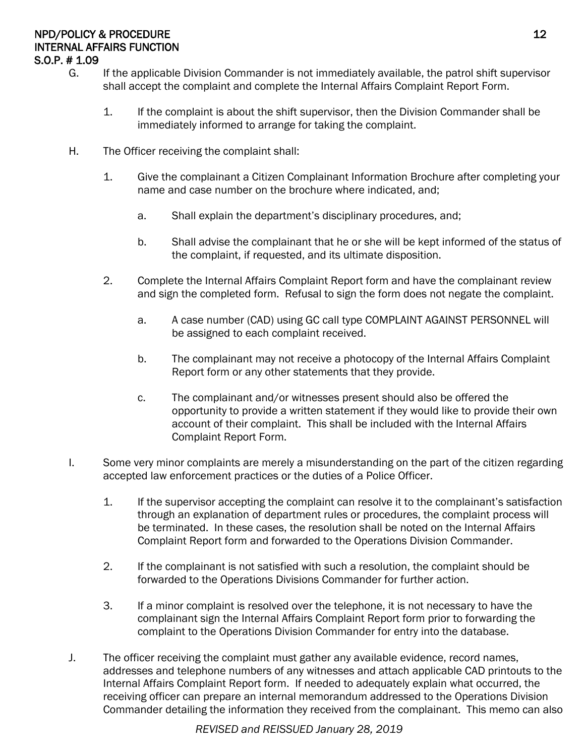#### NPD/POLICY & PROCEDURE 22 INTERNAL AFFAIRS FUNCTION S.O.P. # 1.09

- G. If the applicable Division Commander is not immediately available, the patrol shift supervisor shall accept the complaint and complete the Internal Affairs Complaint Report Form.
	- 1. If the complaint is about the shift supervisor, then the Division Commander shall be immediately informed to arrange for taking the complaint.
- H. The Officer receiving the complaint shall:
	- 1. Give the complainant a Citizen Complainant Information Brochure after completing your name and case number on the brochure where indicated, and;
		- a. Shall explain the department's disciplinary procedures, and;
		- b. Shall advise the complainant that he or she will be kept informed of the status of the complaint, if requested, and its ultimate disposition.
	- 2. Complete the Internal Affairs Complaint Report form and have the complainant review and sign the completed form. Refusal to sign the form does not negate the complaint.
		- a. A case number (CAD) using GC call type COMPLAINT AGAINST PERSONNEL will be assigned to each complaint received.
		- b. The complainant may not receive a photocopy of the Internal Affairs Complaint Report form or any other statements that they provide.
		- c. The complainant and/or witnesses present should also be offered the opportunity to provide a written statement if they would like to provide their own account of their complaint. This shall be included with the Internal Affairs Complaint Report Form.
- I. Some very minor complaints are merely a misunderstanding on the part of the citizen regarding accepted law enforcement practices or the duties of a Police Officer.
	- 1. If the supervisor accepting the complaint can resolve it to the complainant's satisfaction through an explanation of department rules or procedures, the complaint process will be terminated. In these cases, the resolution shall be noted on the Internal Affairs Complaint Report form and forwarded to the Operations Division Commander.
	- 2. If the complainant is not satisfied with such a resolution, the complaint should be forwarded to the Operations Divisions Commander for further action.
	- 3. If a minor complaint is resolved over the telephone, it is not necessary to have the complainant sign the Internal Affairs Complaint Report form prior to forwarding the complaint to the Operations Division Commander for entry into the database.
- J. The officer receiving the complaint must gather any available evidence, record names, addresses and telephone numbers of any witnesses and attach applicable CAD printouts to the Internal Affairs Complaint Report form. If needed to adequately explain what occurred, the receiving officer can prepare an internal memorandum addressed to the Operations Division Commander detailing the information they received from the complainant. This memo can also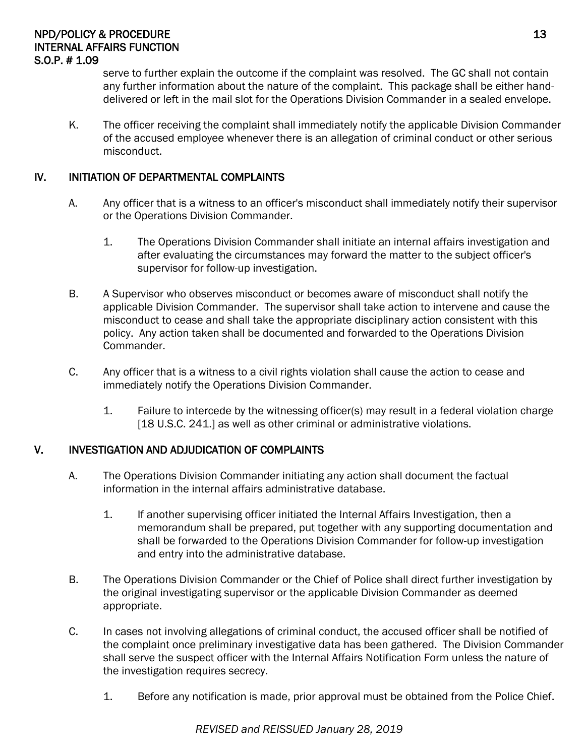#### NPD/POLICY & PROCEDURE 23 INTERNAL AFFAIRS FUNCTION S.O.P. # 1.09

serve to further explain the outcome if the complaint was resolved. The GC shall not contain any further information about the nature of the complaint. This package shall be either handdelivered or left in the mail slot for the Operations Division Commander in a sealed envelope.

K. The officer receiving the complaint shall immediately notify the applicable Division Commander of the accused employee whenever there is an allegation of criminal conduct or other serious misconduct.

# IV. INITIATION OF DEPARTMENTAL COMPLAINTS

- A. Any officer that is a witness to an officer's misconduct shall immediately notify their supervisor or the Operations Division Commander.
	- 1. The Operations Division Commander shall initiate an internal affairs investigation and after evaluating the circumstances may forward the matter to the subject officer's supervisor for follow-up investigation.
- B. A Supervisor who observes misconduct or becomes aware of misconduct shall notify the applicable Division Commander. The supervisor shall take action to intervene and cause the misconduct to cease and shall take the appropriate disciplinary action consistent with this policy. Any action taken shall be documented and forwarded to the Operations Division Commander.
- C. Any officer that is a witness to a civil rights violation shall cause the action to cease and immediately notify the Operations Division Commander.
	- 1. Failure to intercede by the witnessing officer(s) may result in a federal violation charge [18 U.S.C. 241.] as well as other criminal or administrative violations.

#### V. INVESTIGATION AND ADJUDICATION OF COMPLAINTS

- A. The Operations Division Commander initiating any action shall document the factual information in the internal affairs administrative database.
	- 1. If another supervising officer initiated the Internal Affairs Investigation, then a memorandum shall be prepared, put together with any supporting documentation and shall be forwarded to the Operations Division Commander for follow-up investigation and entry into the administrative database.
- B. The Operations Division Commander or the Chief of Police shall direct further investigation by the original investigating supervisor or the applicable Division Commander as deemed appropriate.
- C. In cases not involving allegations of criminal conduct, the accused officer shall be notified of the complaint once preliminary investigative data has been gathered. The Division Commander shall serve the suspect officer with the Internal Affairs Notification Form unless the nature of the investigation requires secrecy.
	- 1. Before any notification is made, prior approval must be obtained from the Police Chief.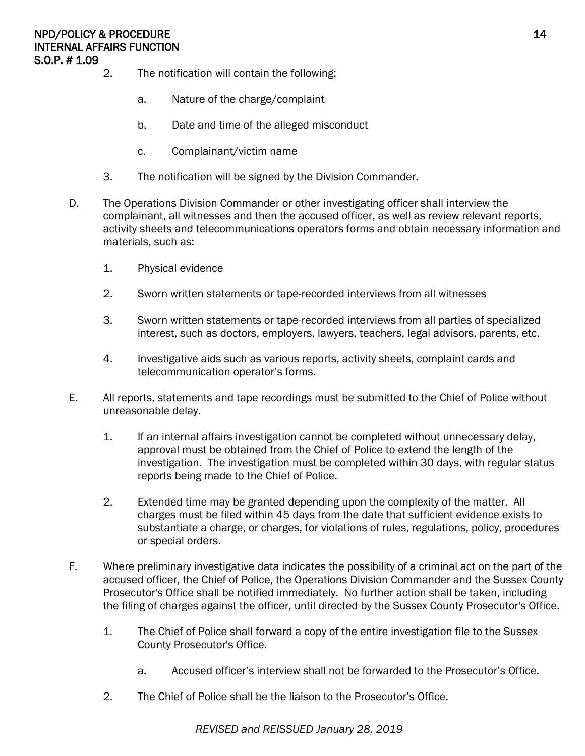- 2. The notification will contain the following:
	- a. Nature of the charge/complaint
	- b. Date and time of the alleged misconduct
	- c. Complainant/victim name
- 3. The notification will be signed by the Division Commander.
- D. The Operations Division Commander or other investigating officer shall interview the complainant, all witnesses and then the accused officer, as well as review relevant reports, activity sheets and telecommunications operators forms and obtain necessary information and materials, such as:
	- 1. Physical evidence
	- 2. Sworn written statements or tape-recorded interviews from all witnesses
	- 3. Sworn written statements or tape-recorded interviews from all parties of specialized interest, such as doctors, employers, lawyers, teachers, legal advisors, parents, etc.
	- 4. Investigative aids such as various reports, activity sheets, complaint cards and telecommunication operator's forms.
- E. All reports, statements and tape recordings must be submitted to the Chief of Police without unreasonable delay.
	- 1. If an internal affairs investigation cannot be completed without unnecessary delay, approval must be obtained from the Chief of Police to extend the length of the investigation. The investigation must be completed within 30 days, with regular status reports being made to the Chief of Police.
	- 2. Extended time may be granted depending upon the complexity of the matter. All charges must be filed within 45 days from the date that sufficient evidence exists to substantiate a charge, or charges, for violations of rules, regulations, policy, procedures or special orders.
- F. Where preliminary investigative data indicates the possibility of a criminal act on the part of the accused officer, the Chief of Police, the Operations Division Commander and the Sussex County Prosecutor's Office shall be notified immediately. No further action shall be taken, including the filing of charges against the officer, until directed by the Sussex County Prosecutor's Office.
	- 1. The Chief of Police shall forward a copy of the entire investigation file to the Sussex County Prosecutor's Office.
		- a. Accused officer's interview shall not be forwarded to the Prosecutor's Office.
	- 2. The Chief of Police shall be the liaison to the Prosecutor's Office.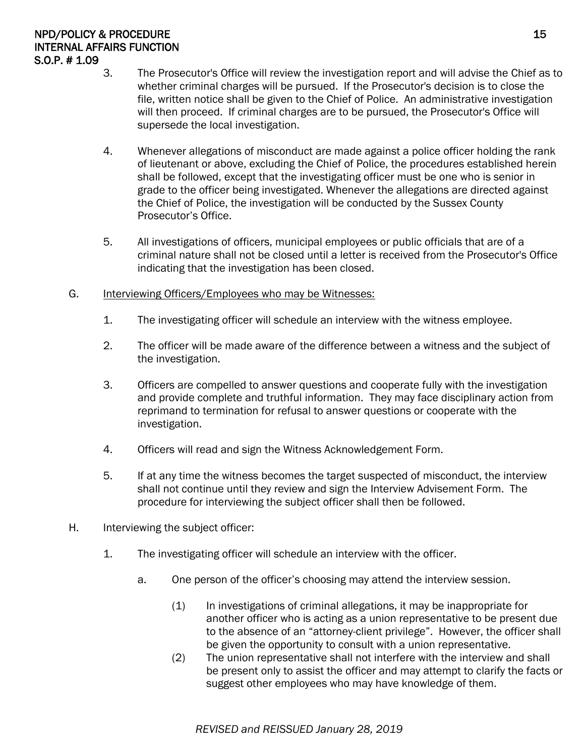# NPD/POLICY & PROCEDURE 25 INTERNAL AFFAIRS FUNCTION S.O.P. # 1.09

- 3. The Prosecutor's Office will review the investigation report and will advise the Chief as to whether criminal charges will be pursued. If the Prosecutor's decision is to close the file, written notice shall be given to the Chief of Police. An administrative investigation will then proceed. If criminal charges are to be pursued, the Prosecutor's Office will supersede the local investigation.
- 4. Whenever allegations of misconduct are made against a police officer holding the rank of lieutenant or above, excluding the Chief of Police, the procedures established herein shall be followed, except that the investigating officer must be one who is senior in grade to the officer being investigated. Whenever the allegations are directed against the Chief of Police, the investigation will be conducted by the Sussex County Prosecutor's Office.
- 5. All investigations of officers, municipal employees or public officials that are of a criminal nature shall not be closed until a letter is received from the Prosecutor's Office indicating that the investigation has been closed.
- G. Interviewing Officers/Employees who may be Witnesses:
	- 1. The investigating officer will schedule an interview with the witness employee.
	- 2. The officer will be made aware of the difference between a witness and the subject of the investigation.
	- 3. Officers are compelled to answer questions and cooperate fully with the investigation and provide complete and truthful information. They may face disciplinary action from reprimand to termination for refusal to answer questions or cooperate with the investigation.
	- 4. Officers will read and sign the Witness Acknowledgement Form.
	- 5. If at any time the witness becomes the target suspected of misconduct, the interview shall not continue until they review and sign the Interview Advisement Form. The procedure for interviewing the subject officer shall then be followed.
- H. Interviewing the subject officer:
	- 1. The investigating officer will schedule an interview with the officer.
		- a. One person of the officer's choosing may attend the interview session.
			- (1) In investigations of criminal allegations, it may be inappropriate for another officer who is acting as a union representative to be present due to the absence of an "attorney-client privilege". However, the officer shall be given the opportunity to consult with a union representative.
			- (2) The union representative shall not interfere with the interview and shall be present only to assist the officer and may attempt to clarify the facts or suggest other employees who may have knowledge of them.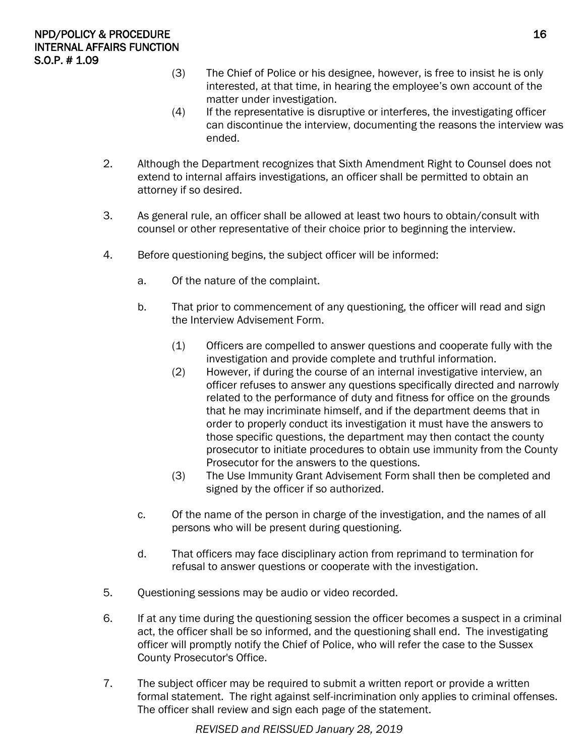- (3) The Chief of Police or his designee, however, is free to insist he is only interested, at that time, in hearing the employee's own account of the matter under investigation.
- (4) If the representative is disruptive or interferes, the investigating officer can discontinue the interview, documenting the reasons the interview was ended.
- 2. Although the Department recognizes that Sixth Amendment Right to Counsel does not extend to internal affairs investigations, an officer shall be permitted to obtain an attorney if so desired.
- 3. As general rule, an officer shall be allowed at least two hours to obtain/consult with counsel or other representative of their choice prior to beginning the interview.
- 4. Before questioning begins, the subject officer will be informed:
	- a. Of the nature of the complaint.
	- b. That prior to commencement of any questioning, the officer will read and sign the Interview Advisement Form.
		- (1) Officers are compelled to answer questions and cooperate fully with the investigation and provide complete and truthful information.
		- (2) However, if during the course of an internal investigative interview, an officer refuses to answer any questions specifically directed and narrowly related to the performance of duty and fitness for office on the grounds that he may incriminate himself, and if the department deems that in order to properly conduct its investigation it must have the answers to those specific questions, the department may then contact the county prosecutor to initiate procedures to obtain use immunity from the County Prosecutor for the answers to the questions.
		- (3) The Use Immunity Grant Advisement Form shall then be completed and signed by the officer if so authorized.
	- c. Of the name of the person in charge of the investigation, and the names of all persons who will be present during questioning.
	- d. That officers may face disciplinary action from reprimand to termination for refusal to answer questions or cooperate with the investigation.
- 5. Questioning sessions may be audio or video recorded.
- 6. If at any time during the questioning session the officer becomes a suspect in a criminal act, the officer shall be so informed, and the questioning shall end. The investigating officer will promptly notify the Chief of Police, who will refer the case to the Sussex County Prosecutor's Office.
- 7. The subject officer may be required to submit a written report or provide a written formal statement. The right against self-incrimination only applies to criminal offenses. The officer shall review and sign each page of the statement.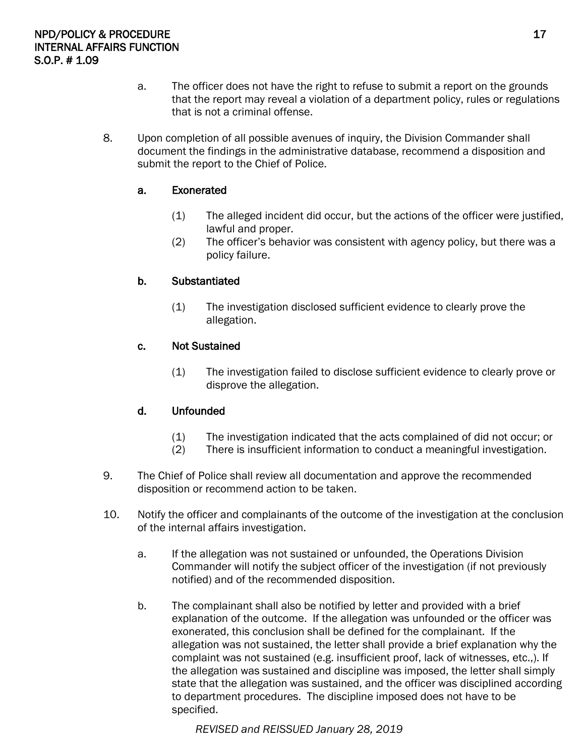- a. The officer does not have the right to refuse to submit a report on the grounds that the report may reveal a violation of a department policy, rules or regulations that is not a criminal offense.
- 8. Upon completion of all possible avenues of inquiry, the Division Commander shall document the findings in the administrative database, recommend a disposition and submit the report to the Chief of Police.

#### a. Exonerated

- (1) The alleged incident did occur, but the actions of the officer were justified, lawful and proper.
- (2) The officer's behavior was consistent with agency policy, but there was a policy failure.

#### b. Substantiated

(1) The investigation disclosed sufficient evidence to clearly prove the allegation.

#### c. Not Sustained

(1) The investigation failed to disclose sufficient evidence to clearly prove or disprove the allegation.

#### d. Unfounded

- (1) The investigation indicated that the acts complained of did not occur; or
- (2) There is insufficient information to conduct a meaningful investigation.
- 9. The Chief of Police shall review all documentation and approve the recommended disposition or recommend action to be taken.
- 10. Notify the officer and complainants of the outcome of the investigation at the conclusion of the internal affairs investigation.
	- a. If the allegation was not sustained or unfounded, the Operations Division Commander will notify the subject officer of the investigation (if not previously notified) and of the recommended disposition.
	- b. The complainant shall also be notified by letter and provided with a brief explanation of the outcome. If the allegation was unfounded or the officer was exonerated, this conclusion shall be defined for the complainant. If the allegation was not sustained, the letter shall provide a brief explanation why the complaint was not sustained (e.g. insufficient proof, lack of witnesses, etc.,). If the allegation was sustained and discipline was imposed, the letter shall simply state that the allegation was sustained, and the officer was disciplined according to department procedures. The discipline imposed does not have to be specified.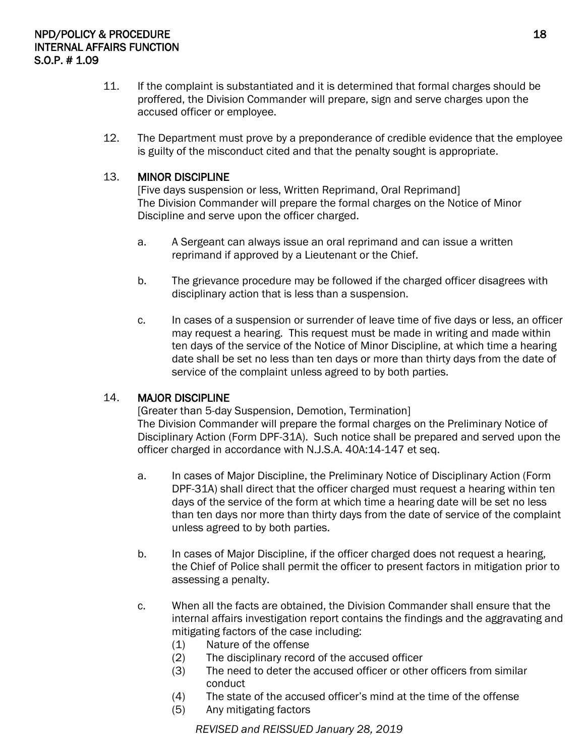- 11. If the complaint is substantiated and it is determined that formal charges should be proffered, the Division Commander will prepare, sign and serve charges upon the accused officer or employee.
- 12. The Department must prove by a preponderance of credible evidence that the employee is guilty of the misconduct cited and that the penalty sought is appropriate.

#### 13. MINOR DISCIPLINE

[Five days suspension or less, Written Reprimand, Oral Reprimand] The Division Commander will prepare the formal charges on the Notice of Minor Discipline and serve upon the officer charged.

- a. A Sergeant can always issue an oral reprimand and can issue a written reprimand if approved by a Lieutenant or the Chief.
- b. The grievance procedure may be followed if the charged officer disagrees with disciplinary action that is less than a suspension.
- c. In cases of a suspension or surrender of leave time of five days or less, an officer may request a hearing. This request must be made in writing and made within ten days of the service of the Notice of Minor Discipline, at which time a hearing date shall be set no less than ten days or more than thirty days from the date of service of the complaint unless agreed to by both parties.

#### 14. MAJOR DISCIPLINE

[Greater than 5-day Suspension, Demotion, Termination] The Division Commander will prepare the formal charges on the Preliminary Notice of Disciplinary Action (Form DPF-31A). Such notice shall be prepared and served upon the officer charged in accordance with N.J.S.A. 40A:14-147 et seq.

- a. In cases of Major Discipline, the Preliminary Notice of Disciplinary Action (Form DPF-31A) shall direct that the officer charged must request a hearing within ten days of the service of the form at which time a hearing date will be set no less than ten days nor more than thirty days from the date of service of the complaint unless agreed to by both parties.
- b. In cases of Major Discipline, if the officer charged does not request a hearing, the Chief of Police shall permit the officer to present factors in mitigation prior to assessing a penalty.
- c. When all the facts are obtained, the Division Commander shall ensure that the internal affairs investigation report contains the findings and the aggravating and mitigating factors of the case including:
	- (1) Nature of the offense
	- (2) The disciplinary record of the accused officer
	- (3) The need to deter the accused officer or other officers from similar conduct
	- (4) The state of the accused officer's mind at the time of the offense
	- (5) Any mitigating factors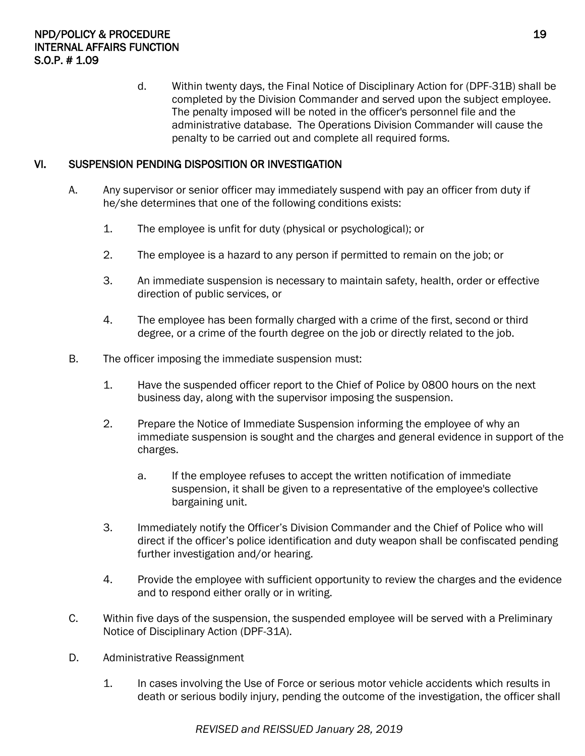d. Within twenty days, the Final Notice of Disciplinary Action for (DPF-31B) shall be completed by the Division Commander and served upon the subject employee. The penalty imposed will be noted in the officer's personnel file and the administrative database. The Operations Division Commander will cause the penalty to be carried out and complete all required forms.

# VI. SUSPENSION PENDING DISPOSITION OR INVESTIGATION

- A. Any supervisor or senior officer may immediately suspend with pay an officer from duty if he/she determines that one of the following conditions exists:
	- 1. The employee is unfit for duty (physical or psychological); or
	- 2. The employee is a hazard to any person if permitted to remain on the job; or
	- 3. An immediate suspension is necessary to maintain safety, health, order or effective direction of public services, or
	- 4. The employee has been formally charged with a crime of the first, second or third degree, or a crime of the fourth degree on the job or directly related to the job.
- B. The officer imposing the immediate suspension must:
	- 1. Have the suspended officer report to the Chief of Police by 0800 hours on the next business day, along with the supervisor imposing the suspension.
	- 2. Prepare the Notice of Immediate Suspension informing the employee of why an immediate suspension is sought and the charges and general evidence in support of the charges.
		- a. If the employee refuses to accept the written notification of immediate suspension, it shall be given to a representative of the employee's collective bargaining unit.
	- 3. Immediately notify the Officer's Division Commander and the Chief of Police who will direct if the officer's police identification and duty weapon shall be confiscated pending further investigation and/or hearing.
	- 4. Provide the employee with sufficient opportunity to review the charges and the evidence and to respond either orally or in writing.
- C. Within five days of the suspension, the suspended employee will be served with a Preliminary Notice of Disciplinary Action (DPF-31A).
- D. Administrative Reassignment
	- 1. In cases involving the Use of Force or serious motor vehicle accidents which results in death or serious bodily injury, pending the outcome of the investigation, the officer shall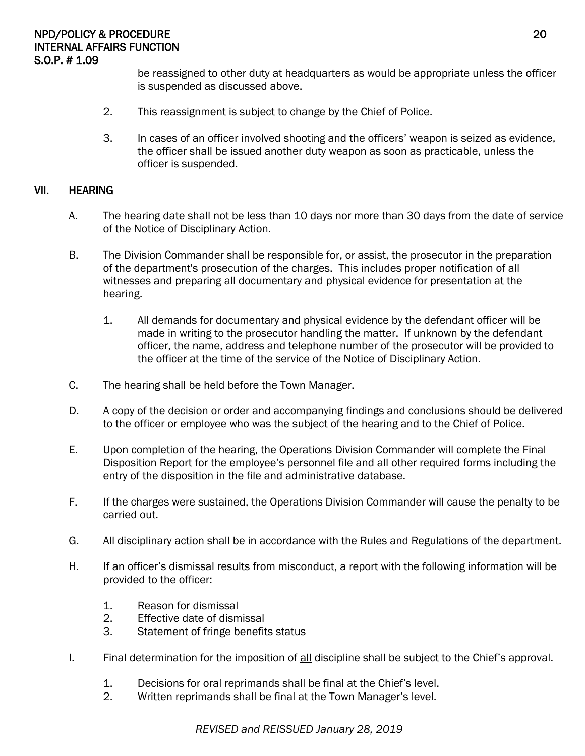be reassigned to other duty at headquarters as would be appropriate unless the officer is suspended as discussed above.

- 2. This reassignment is subject to change by the Chief of Police.
- 3. In cases of an officer involved shooting and the officers' weapon is seized as evidence, the officer shall be issued another duty weapon as soon as practicable, unless the officer is suspended.

#### VII. HEARING

- A. The hearing date shall not be less than 10 days nor more than 30 days from the date of service of the Notice of Disciplinary Action.
- B. The Division Commander shall be responsible for, or assist, the prosecutor in the preparation of the department's prosecution of the charges. This includes proper notification of all witnesses and preparing all documentary and physical evidence for presentation at the hearing.
	- 1. All demands for documentary and physical evidence by the defendant officer will be made in writing to the prosecutor handling the matter. If unknown by the defendant officer, the name, address and telephone number of the prosecutor will be provided to the officer at the time of the service of the Notice of Disciplinary Action.
- C. The hearing shall be held before the Town Manager.
- D. A copy of the decision or order and accompanying findings and conclusions should be delivered to the officer or employee who was the subject of the hearing and to the Chief of Police.
- E. Upon completion of the hearing, the Operations Division Commander will complete the Final Disposition Report for the employee's personnel file and all other required forms including the entry of the disposition in the file and administrative database.
- F. If the charges were sustained, the Operations Division Commander will cause the penalty to be carried out.
- G. All disciplinary action shall be in accordance with the Rules and Regulations of the department.
- H. If an officer's dismissal results from misconduct, a report with the following information will be provided to the officer:
	- 1. Reason for dismissal
	- 2. Effective date of dismissal
	- 3. Statement of fringe benefits status
- I. Final determination for the imposition of all discipline shall be subject to the Chief's approval.
	- 1. Decisions for oral reprimands shall be final at the Chief's level.
	- 2. Written reprimands shall be final at the Town Manager's level.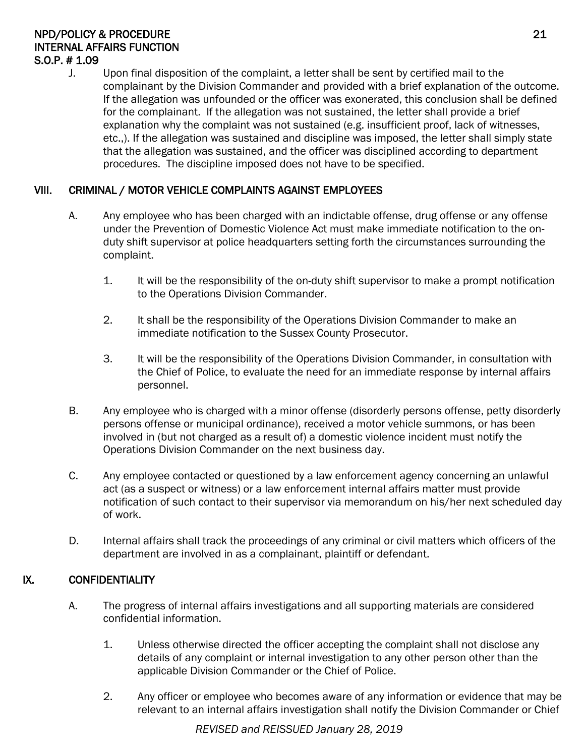#### NPD/POLICY & PROCEDURE 21 INTERNAL AFFAIRS FUNCTION S.O.P. # 1.09

J. Upon final disposition of the complaint, a letter shall be sent by certified mail to the complainant by the Division Commander and provided with a brief explanation of the outcome. If the allegation was unfounded or the officer was exonerated, this conclusion shall be defined for the complainant. If the allegation was not sustained, the letter shall provide a brief explanation why the complaint was not sustained (e.g. insufficient proof, lack of witnesses, etc.,). If the allegation was sustained and discipline was imposed, the letter shall simply state that the allegation was sustained, and the officer was disciplined according to department procedures. The discipline imposed does not have to be specified.

# VIII. CRIMINAL / MOTOR VEHICLE COMPLAINTS AGAINST EMPLOYEES

- A. Any employee who has been charged with an indictable offense, drug offense or any offense under the Prevention of Domestic Violence Act must make immediate notification to the onduty shift supervisor at police headquarters setting forth the circumstances surrounding the complaint.
	- 1. It will be the responsibility of the on-duty shift supervisor to make a prompt notification to the Operations Division Commander.
	- 2. It shall be the responsibility of the Operations Division Commander to make an immediate notification to the Sussex County Prosecutor.
	- 3. It will be the responsibility of the Operations Division Commander, in consultation with the Chief of Police, to evaluate the need for an immediate response by internal affairs personnel.
- B. Any employee who is charged with a minor offense (disorderly persons offense, petty disorderly persons offense or municipal ordinance), received a motor vehicle summons, or has been involved in (but not charged as a result of) a domestic violence incident must notify the Operations Division Commander on the next business day.
- C. Any employee contacted or questioned by a law enforcement agency concerning an unlawful act (as a suspect or witness) or a law enforcement internal affairs matter must provide notification of such contact to their supervisor via memorandum on his/her next scheduled day of work.
- D. Internal affairs shall track the proceedings of any criminal or civil matters which officers of the department are involved in as a complainant, plaintiff or defendant.

# IX. CONFIDENTIALITY

- A. The progress of internal affairs investigations and all supporting materials are considered confidential information.
	- 1. Unless otherwise directed the officer accepting the complaint shall not disclose any details of any complaint or internal investigation to any other person other than the applicable Division Commander or the Chief of Police.
	- 2. Any officer or employee who becomes aware of any information or evidence that may be relevant to an internal affairs investigation shall notify the Division Commander or Chief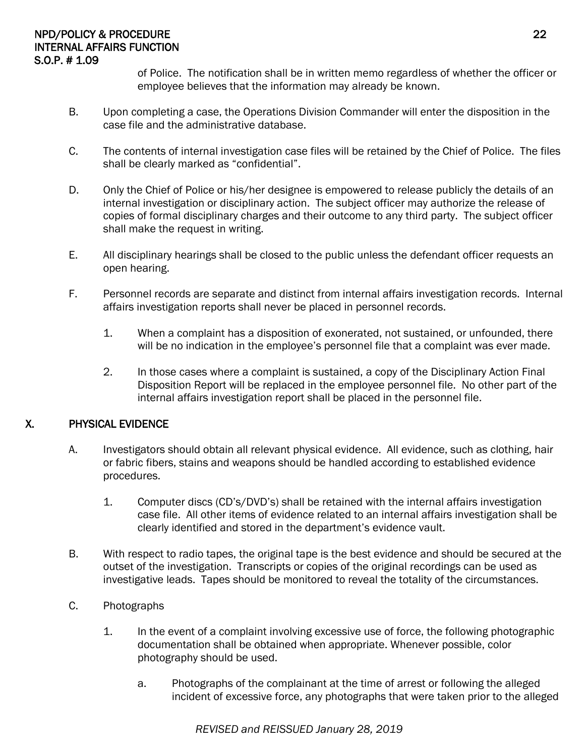#### NPD/POLICY & PROCEDURE 22 INTERNAL AFFAIRS FUNCTION S.O.P. # 1.09

of Police. The notification shall be in written memo regardless of whether the officer or employee believes that the information may already be known.

- B. Upon completing a case, the Operations Division Commander will enter the disposition in the case file and the administrative database.
- C. The contents of internal investigation case files will be retained by the Chief of Police. The files shall be clearly marked as "confidential".
- D. Only the Chief of Police or his/her designee is empowered to release publicly the details of an internal investigation or disciplinary action. The subject officer may authorize the release of copies of formal disciplinary charges and their outcome to any third party. The subject officer shall make the request in writing.
- E. All disciplinary hearings shall be closed to the public unless the defendant officer requests an open hearing.
- F. Personnel records are separate and distinct from internal affairs investigation records. Internal affairs investigation reports shall never be placed in personnel records.
	- 1. When a complaint has a disposition of exonerated, not sustained, or unfounded, there will be no indication in the employee's personnel file that a complaint was ever made.
	- 2. In those cases where a complaint is sustained, a copy of the Disciplinary Action Final Disposition Report will be replaced in the employee personnel file. No other part of the internal affairs investigation report shall be placed in the personnel file.

# X. PHYSICAL EVIDENCE

- A. Investigators should obtain all relevant physical evidence. All evidence, such as clothing, hair or fabric fibers, stains and weapons should be handled according to established evidence procedures.
	- 1. Computer discs (CD's/DVD's) shall be retained with the internal affairs investigation case file. All other items of evidence related to an internal affairs investigation shall be clearly identified and stored in the department's evidence vault.
- B. With respect to radio tapes, the original tape is the best evidence and should be secured at the outset of the investigation. Transcripts or copies of the original recordings can be used as investigative leads. Tapes should be monitored to reveal the totality of the circumstances.
- C. Photographs
	- 1. In the event of a complaint involving excessive use of force, the following photographic documentation shall be obtained when appropriate. Whenever possible, color photography should be used.
		- a. Photographs of the complainant at the time of arrest or following the alleged incident of excessive force, any photographs that were taken prior to the alleged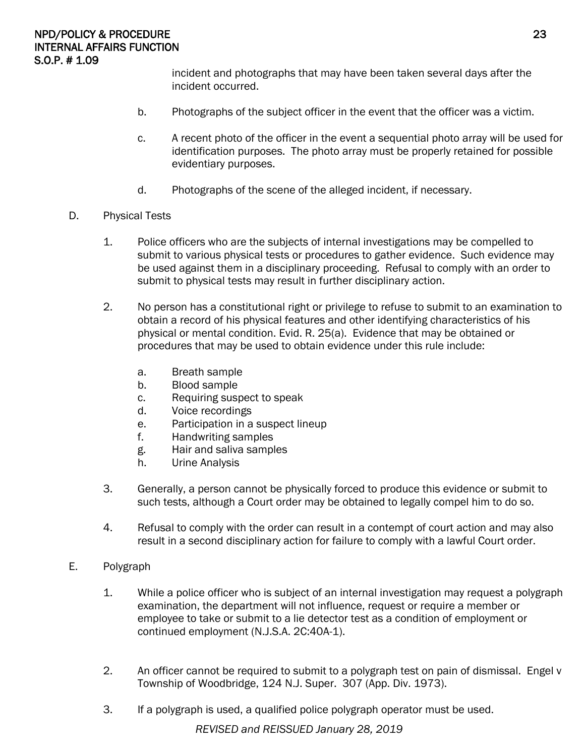incident and photographs that may have been taken several days after the incident occurred.

- b. Photographs of the subject officer in the event that the officer was a victim.
- c. A recent photo of the officer in the event a sequential photo array will be used for identification purposes. The photo array must be properly retained for possible evidentiary purposes.
- d. Photographs of the scene of the alleged incident, if necessary.
- D. Physical Tests
	- 1. Police officers who are the subjects of internal investigations may be compelled to submit to various physical tests or procedures to gather evidence. Such evidence may be used against them in a disciplinary proceeding. Refusal to comply with an order to submit to physical tests may result in further disciplinary action.
	- 2. No person has a constitutional right or privilege to refuse to submit to an examination to obtain a record of his physical features and other identifying characteristics of his physical or mental condition. Evid. R. 25(a). Evidence that may be obtained or procedures that may be used to obtain evidence under this rule include:
		- a. Breath sample
		- b. Blood sample
		- c. Requiring suspect to speak
		- d. Voice recordings
		- e. Participation in a suspect lineup
		- f. Handwriting samples
		- g. Hair and saliva samples
		- h. Urine Analysis
	- 3. Generally, a person cannot be physically forced to produce this evidence or submit to such tests, although a Court order may be obtained to legally compel him to do so.
	- 4. Refusal to comply with the order can result in a contempt of court action and may also result in a second disciplinary action for failure to comply with a lawful Court order.
- E. Polygraph
	- 1. While a police officer who is subject of an internal investigation may request a polygraph examination, the department will not influence, request or require a member or employee to take or submit to a lie detector test as a condition of employment or continued employment (N.J.S.A. 2C:40A-1).
	- 2. An officer cannot be required to submit to a polygraph test on pain of dismissal. Engel v Township of Woodbridge, 124 N.J. Super. 307 (App. Div. 1973).
	- 3. If a polygraph is used, a qualified police polygraph operator must be used.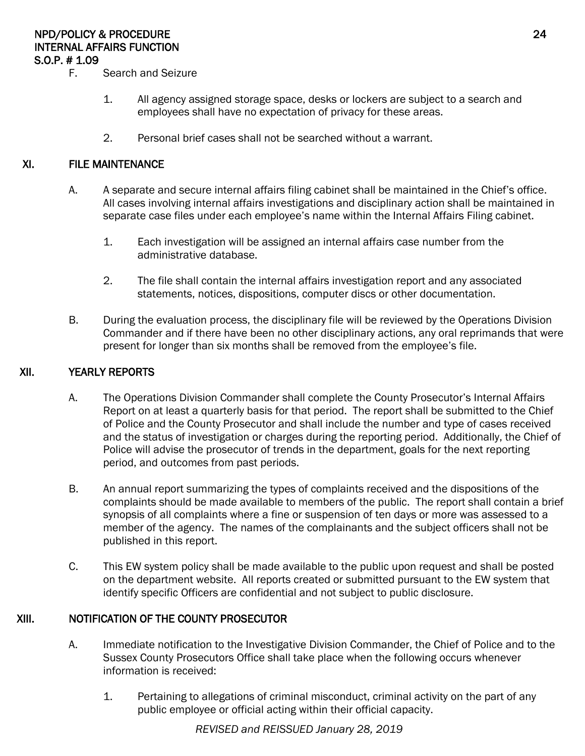# NPD/POLICY & PROCEDURE 24 INTERNAL AFFAIRS FUNCTION S.O.P. # 1.09

- F. Search and Seizure
	- 1. All agency assigned storage space, desks or lockers are subject to a search and employees shall have no expectation of privacy for these areas.
	- 2. Personal brief cases shall not be searched without a warrant.

#### XI. FILE MAINTENANCE

- A. A separate and secure internal affairs filing cabinet shall be maintained in the Chief's office. All cases involving internal affairs investigations and disciplinary action shall be maintained in separate case files under each employee's name within the Internal Affairs Filing cabinet.
	- 1. Each investigation will be assigned an internal affairs case number from the administrative database.
	- 2. The file shall contain the internal affairs investigation report and any associated statements, notices, dispositions, computer discs or other documentation.
- B. During the evaluation process, the disciplinary file will be reviewed by the Operations Division Commander and if there have been no other disciplinary actions, any oral reprimands that were present for longer than six months shall be removed from the employee's file.

#### XII. YEARLY REPORTS

- A. The Operations Division Commander shall complete the County Prosecutor's Internal Affairs Report on at least a quarterly basis for that period. The report shall be submitted to the Chief of Police and the County Prosecutor and shall include the number and type of cases received and the status of investigation or charges during the reporting period. Additionally, the Chief of Police will advise the prosecutor of trends in the department, goals for the next reporting period, and outcomes from past periods.
- B. An annual report summarizing the types of complaints received and the dispositions of the complaints should be made available to members of the public. The report shall contain a brief synopsis of all complaints where a fine or suspension of ten days or more was assessed to a member of the agency. The names of the complainants and the subject officers shall not be published in this report.
- C. This EW system policy shall be made available to the public upon request and shall be posted on the department website. All reports created or submitted pursuant to the EW system that identify specific Officers are confidential and not subject to public disclosure.

#### XIII. NOTIFICATION OF THE COUNTY PROSECUTOR

- A. Immediate notification to the Investigative Division Commander, the Chief of Police and to the Sussex County Prosecutors Office shall take place when the following occurs whenever information is received:
	- 1. Pertaining to allegations of criminal misconduct, criminal activity on the part of any public employee or official acting within their official capacity.